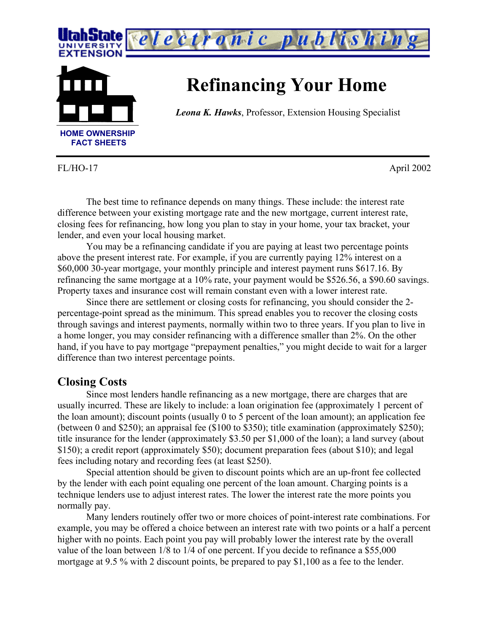

FL/HO-17 April 2002

The best time to refinance depends on many things. These include: the interest rate difference between your existing mortgage rate and the new mortgage, current interest rate, closing fees for refinancing, how long you plan to stay in your home, your tax bracket, your lender, and even your local housing market.

You may be a refinancing candidate if you are paying at least two percentage points above the present interest rate. For example, if you are currently paying 12% interest on a \$60,000 30-year mortgage, your monthly principle and interest payment runs \$617.16. By refinancing the same mortgage at a 10% rate, your payment would be \$526.56, a \$90.60 savings. Property taxes and insurance cost will remain constant even with a lower interest rate.

Since there are settlement or closing costs for refinancing, you should consider the 2 percentage-point spread as the minimum. This spread enables you to recover the closing costs through savings and interest payments, normally within two to three years. If you plan to live in a home longer, you may consider refinancing with a difference smaller than 2%. On the other hand, if you have to pay mortgage "prepayment penalties," you might decide to wait for a larger difference than two interest percentage points.

## **Closing Costs**

Since most lenders handle refinancing as a new mortgage, there are charges that are usually incurred. These are likely to include: a loan origination fee (approximately 1 percent of the loan amount); discount points (usually 0 to 5 percent of the loan amount); an application fee (between 0 and \$250); an appraisal fee (\$100 to \$350); title examination (approximately \$250); title insurance for the lender (approximately \$3.50 per \$1,000 of the loan); a land survey (about \$150); a credit report (approximately \$50); document preparation fees (about \$10); and legal fees including notary and recording fees (at least \$250).

Special attention should be given to discount points which are an up-front fee collected by the lender with each point equaling one percent of the loan amount. Charging points is a technique lenders use to adjust interest rates. The lower the interest rate the more points you normally pay.

Many lenders routinely offer two or more choices of point-interest rate combinations. For example, you may be offered a choice between an interest rate with two points or a half a percent higher with no points. Each point you pay will probably lower the interest rate by the overall value of the loan between 1/8 to 1/4 of one percent. If you decide to refinance a \$55,000 mortgage at 9.5 % with 2 discount points, be prepared to pay \$1,100 as a fee to the lender.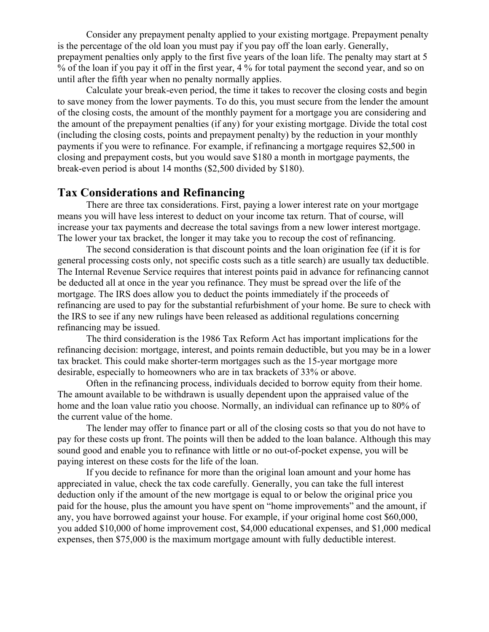Consider any prepayment penalty applied to your existing mortgage. Prepayment penalty is the percentage of the old loan you must pay if you pay off the loan early. Generally, prepayment penalties only apply to the first five years of the loan life. The penalty may start at 5 % of the loan if you pay it off in the first year, 4 % for total payment the second year, and so on until after the fifth year when no penalty normally applies.

Calculate your break-even period, the time it takes to recover the closing costs and begin to save money from the lower payments. To do this, you must secure from the lender the amount of the closing costs, the amount of the monthly payment for a mortgage you are considering and the amount of the prepayment penalties (if any) for your existing mortgage. Divide the total cost (including the closing costs, points and prepayment penalty) by the reduction in your monthly payments if you were to refinance. For example, if refinancing a mortgage requires \$2,500 in closing and prepayment costs, but you would save \$180 a month in mortgage payments, the break-even period is about 14 months (\$2,500 divided by \$180).

## **Tax Considerations and Refinancing**

There are three tax considerations. First, paying a lower interest rate on your mortgage means you will have less interest to deduct on your income tax return. That of course, will increase your tax payments and decrease the total savings from a new lower interest mortgage. The lower your tax bracket, the longer it may take you to recoup the cost of refinancing.

The second consideration is that discount points and the loan origination fee (if it is for general processing costs only, not specific costs such as a title search) are usually tax deductible. The Internal Revenue Service requires that interest points paid in advance for refinancing cannot be deducted all at once in the year you refinance. They must be spread over the life of the mortgage. The IRS does allow you to deduct the points immediately if the proceeds of refinancing are used to pay for the substantial refurbishment of your home. Be sure to check with the IRS to see if any new rulings have been released as additional regulations concerning refinancing may be issued.

The third consideration is the 1986 Tax Reform Act has important implications for the refinancing decision: mortgage, interest, and points remain deductible, but you may be in a lower tax bracket. This could make shorter-term mortgages such as the 15-year mortgage more desirable, especially to homeowners who are in tax brackets of 33% or above.

Often in the refinancing process, individuals decided to borrow equity from their home. The amount available to be withdrawn is usually dependent upon the appraised value of the home and the loan value ratio you choose. Normally, an individual can refinance up to 80% of the current value of the home.

The lender may offer to finance part or all of the closing costs so that you do not have to pay for these costs up front. The points will then be added to the loan balance. Although this may sound good and enable you to refinance with little or no out-of-pocket expense, you will be paying interest on these costs for the life of the loan.

If you decide to refinance for more than the original loan amount and your home has appreciated in value, check the tax code carefully. Generally, you can take the full interest deduction only if the amount of the new mortgage is equal to or below the original price you paid for the house, plus the amount you have spent on "home improvements" and the amount, if any, you have borrowed against your house. For example, if your original home cost \$60,000, you added \$10,000 of home improvement cost, \$4,000 educational expenses, and \$1,000 medical expenses, then \$75,000 is the maximum mortgage amount with fully deductible interest.